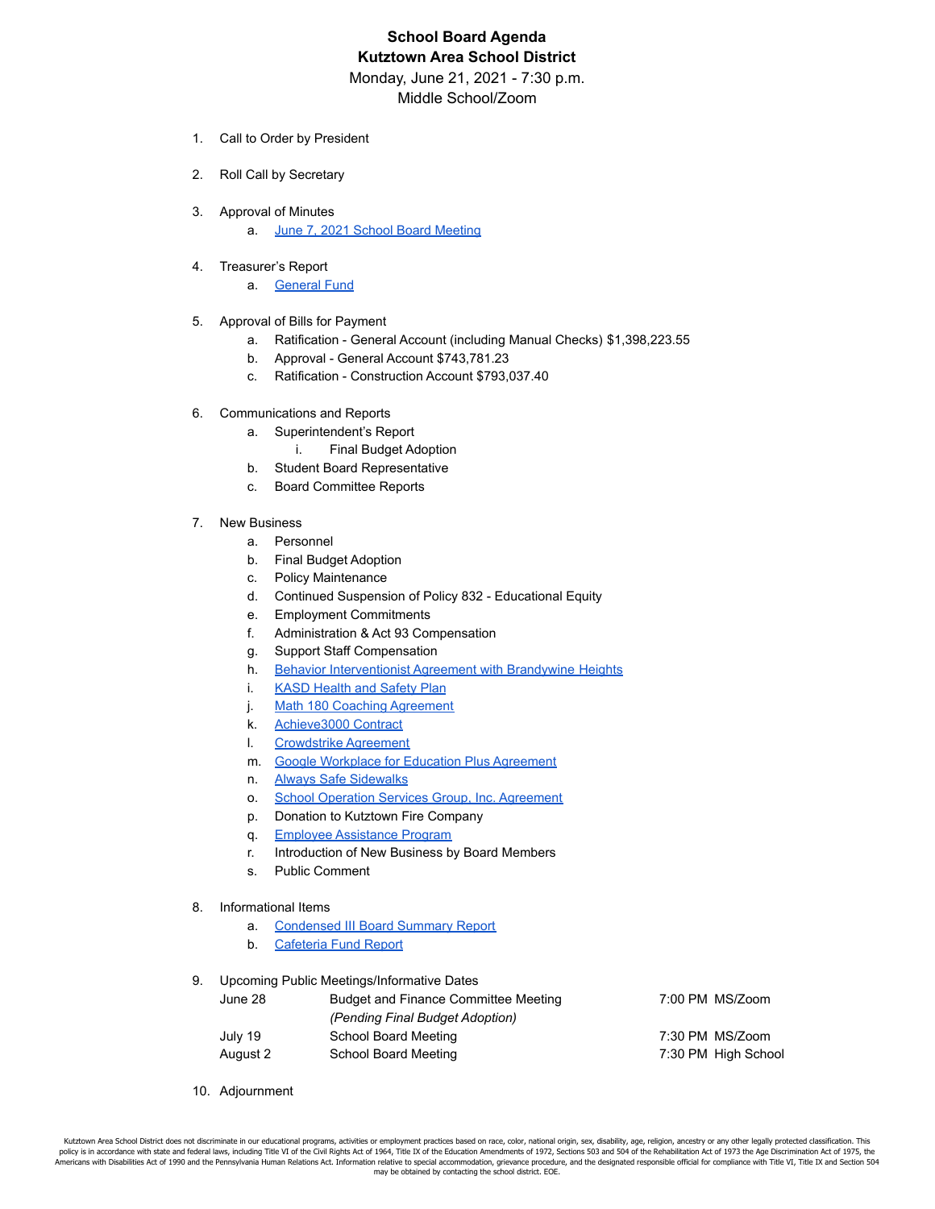## **School Board Agenda Kutztown Area School District**

Monday, June 21, 2021 - 7:30 p.m.

Middle School/Zoom

- 1. Call to Order by President
- 2. Roll Call by Secretary
- 3. Approval of Minutes
	- a. June 7, 2021 School Board [Meeting](https://drive.google.com/file/d/1r8coP5A6K86qthR6kXXNXZshWlCMhYPQ/view?usp=sharing)
- 4. Treasurer's Report
	- a. **[General](https://drive.google.com/file/d/1foqJ7mb0Ru_LGuTgQhEaGyvOGbDOe0WN/view?usp=sharing) Fund**
- 5. Approval of Bills for Payment
	- a. Ratification General Account (including Manual Checks) \$1,398,223.55
	- b. Approval General Account \$743,781.23
	- c. Ratification Construction Account \$793,037.40
- 6. Communications and Reports
	- a. Superintendent's Report
		- i. Final Budget Adoption
	- b. Student Board Representative
	- c. Board Committee Reports
- 7. New Business
	- a. Personnel
	- b. Final Budget Adoption
	- c. Policy Maintenance
	- d. Continued Suspension of Policy 832 Educational Equity
	- e. Employment Commitments
	- f. Administration & Act 93 Compensation
	- g. Support Staff Compensation
	- h. Behavior [Interventionist](https://drive.google.com/file/d/18wJNqv8CcqeJN5dz3Fn2Kj0ORXivvltF/view?usp=sharing) Agreement with Brandywine Heights
	- i. KASD [Health](https://drive.google.com/file/d/1NqDutzIaO9IPQ-WvKgLRrsUky9jMmJfJ/view?usp=sharing) and Safety Plan
	- j. Math 180 Coaching [Agreement](https://drive.google.com/file/d/1XGfa-57kpCghwb8ERam2aWHr-_61wM6D/view?usp=sharing)
	- k. [Achieve3000](https://drive.google.com/file/d/1aNIBZWuRSTYQmwtZuoPMB7xIfqm-VLkR/view?usp=sharing) Contract
	- l. [Crowdstrike](https://drive.google.com/file/d/1UqBC4ZW-vR5AmZCyOEqVHnVtgAbKGF1a/view?usp=sharing) Agreement
	- m. Google Workplace for Education Plus [Agreement](https://drive.google.com/file/d/1fzxl9RubDYuhEaHXRF_hG2YGdsoul7s_/view?usp=sharing)
	- n. Always Safe [Sidewalks](https://drive.google.com/file/d/1dZtcNMHZFES-EEcckLdE5gidMNX81ZGh/view?usp=sharing)
	- o. School Operation Services Group, Inc. [Agreement](https://drive.google.com/file/d/1xfuhVBF3qaGZYyXNl4_0cuqtuJdLQ94w/view?usp=sharing)
	- p. Donation to Kutztown Fire Company
	- q. Employee [Assistance](https://drive.google.com/file/d/1QkTu61Zk7O1ZTAEr2dH_lPFiIUrjyjYT/view?usp=sharing) Program
	- r. Introduction of New Business by Board Members
	- s. Public Comment
- 8. Informational Items
	- a. [Condensed](https://drive.google.com/file/d/1R7L6QB2nLYTYJybGC2S3sBdr5mJKX0lH/view?usp=sharing) III Board Summary Report
	- b. [Cafeteria](https://drive.google.com/file/d/1_f21Ex9IFWR4KNr0XNTjFO5-8-qlAyjJ/view?usp=sharing) Fund Report
- 9. Upcoming Public Meetings/Informative Dates

| June 28  | Budget and Finance Committee Meeting | 7:00 PM MS/Zoom     |
|----------|--------------------------------------|---------------------|
|          | (Pending Final Budget Adoption)      |                     |
| July 19  | School Board Meeting                 | 7:30 PM MS/Zoom     |
| August 2 | School Board Meeting                 | 7:30 PM High School |

10. Adjournment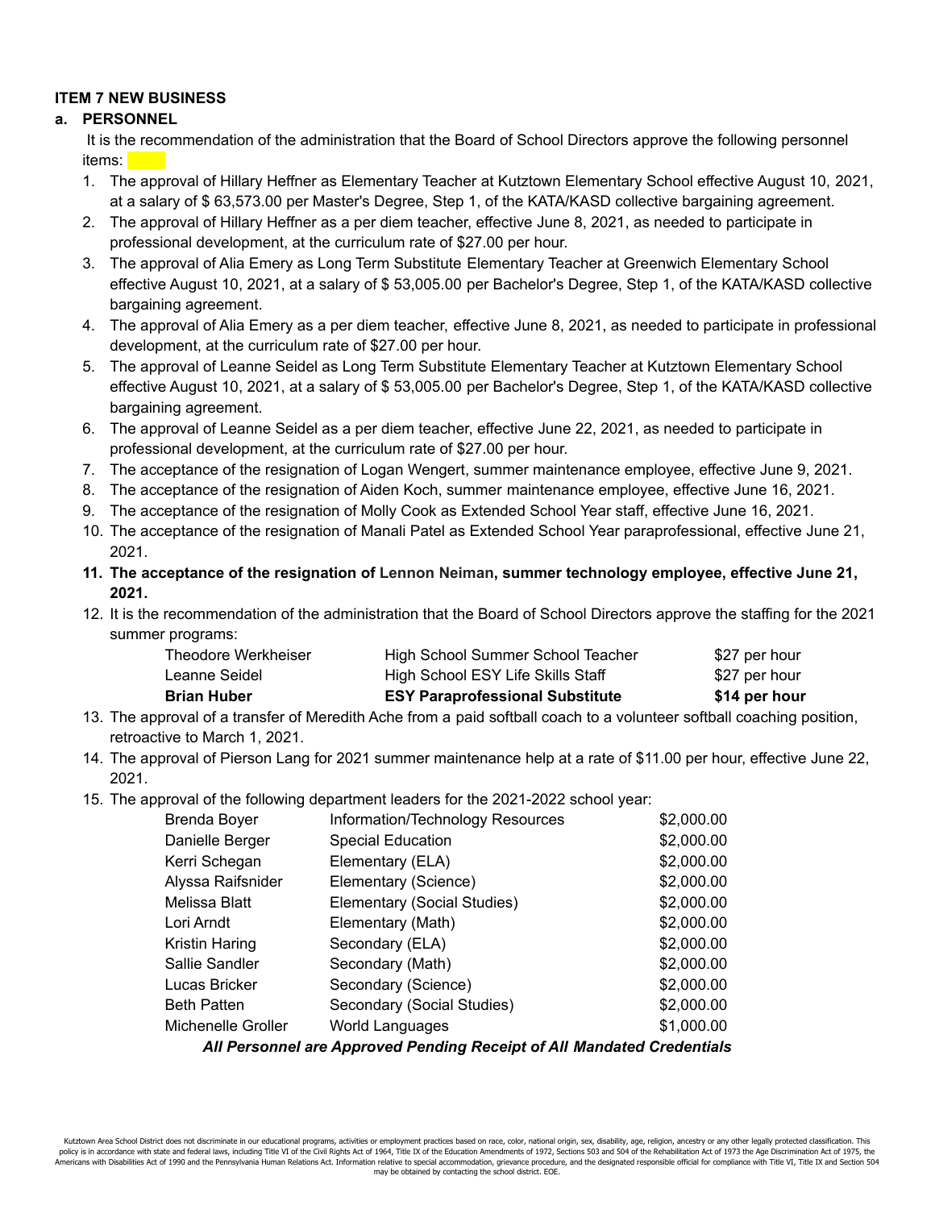## **ITEM 7 NEW BUSINESS**

## **a. PERSONNEL**

It is the recommendation of the administration that the Board of School Directors approve the following personnel items:

- 1. The approval of Hillary Heffner as Elementary Teacher at Kutztown Elementary School effective August 10, 2021, at a salary of \$ 63,573.00 per Master's Degree, Step 1, of the KATA/KASD collective bargaining agreement.
- 2. The approval of Hillary Heffner as a per diem teacher, effective June 8, 2021, as needed to participate in professional development, at the curriculum rate of \$27.00 per hour.
- 3. The approval of Alia Emery as Long Term Substitute Elementary Teacher at Greenwich Elementary School effective August 10, 2021, at a salary of \$ 53,005.00 per Bachelor's Degree, Step 1, of the KATA/KASD collective bargaining agreement.
- 4. The approval of Alia Emery as a per diem teacher, effective June 8, 2021, as needed to participate in professional development, at the curriculum rate of \$27.00 per hour.
- 5. The approval of Leanne Seidel as Long Term Substitute Elementary Teacher at Kutztown Elementary School effective August 10, 2021, at a salary of \$ 53,005.00 per Bachelor's Degree, Step 1, of the KATA/KASD collective bargaining agreement.
- 6. The approval of Leanne Seidel as a per diem teacher, effective June 22, 2021, as needed to participate in professional development, at the curriculum rate of \$27.00 per hour.
- 7. The acceptance of the resignation of Logan Wengert, summer maintenance employee, effective June 9, 2021.
- 8. The acceptance of the resignation of Aiden Koch, summer maintenance employee, effective June 16, 2021.
- 9. The acceptance of the resignation of Molly Cook as Extended School Year staff, effective June 16, 2021.
- 10. The acceptance of the resignation of Manali Patel as Extended School Year paraprofessional, effective June 21, 2021.
- **11. The acceptance of the resignation of Lennon Neiman, summer technology employee, effective June 21, 2021.**
- 12. It is the recommendation of the administration that the Board of School Directors approve the staffing for the 2021 summer programs:

| Brian Huber         | <b>ESY Paraprofessional Substitute</b> | \$14 per hour |
|---------------------|----------------------------------------|---------------|
| Leanne Seidel       | High School ESY Life Skills Staff      | \$27 per hour |
| Theodore Werkheiser | High School Summer School Teacher      | \$27 per hour |

- 13. The approval of a transfer of Meredith Ache from a paid softball coach to a volunteer softball coaching position, retroactive to March 1, 2021.
- 14. The approval of Pierson Lang for 2021 summer maintenance help at a rate of \$11.00 per hour, effective June 22, 2021.
- 15. The approval of the following department leaders for the 2021-2022 school year:

| Brenda Boyer                                                           | Information/Technology Resources | \$2,000.00 |  |  |
|------------------------------------------------------------------------|----------------------------------|------------|--|--|
| Danielle Berger                                                        | <b>Special Education</b>         | \$2,000.00 |  |  |
| Kerri Schegan                                                          | Elementary (ELA)                 | \$2,000.00 |  |  |
| Alyssa Raifsnider                                                      | Elementary (Science)             | \$2,000.00 |  |  |
| Melissa Blatt                                                          | Elementary (Social Studies)      | \$2,000.00 |  |  |
| Lori Arndt                                                             | Elementary (Math)                | \$2,000.00 |  |  |
| Kristin Haring                                                         | Secondary (ELA)                  | \$2,000.00 |  |  |
| Sallie Sandler                                                         | Secondary (Math)                 | \$2,000.00 |  |  |
| Lucas Bricker                                                          | Secondary (Science)              | \$2,000.00 |  |  |
| <b>Beth Patten</b>                                                     | Secondary (Social Studies)       | \$2,000.00 |  |  |
| Michenelle Groller                                                     | World Languages                  | \$1,000.00 |  |  |
| All Personnel are Approved Pending Receipt of All Mandated Credentials |                                  |            |  |  |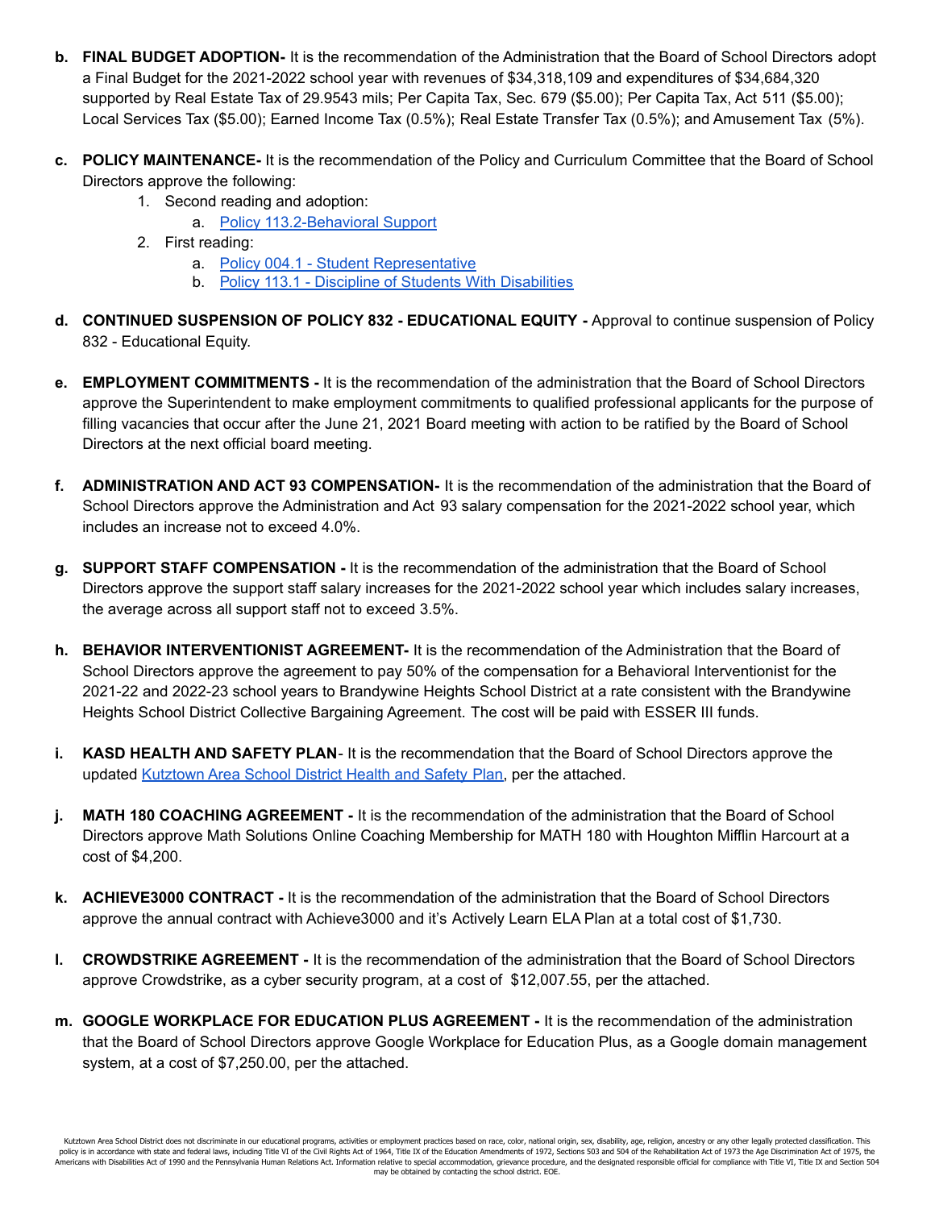- **b. FINAL BUDGET ADOPTION-** It is the recommendation of the Administration that the Board of School Directors adopt a Final Budget for the 2021-2022 school year with revenues of \$34,318,109 and expenditures of \$34,684,320 supported by Real Estate Tax of 29.9543 mils; Per Capita Tax, Sec. 679 (\$5.00); Per Capita Tax, Act 511 (\$5.00); Local Services Tax (\$5.00); Earned Income Tax (0.5%); Real Estate Transfer Tax (0.5%); and Amusement Tax (5%).
- **c. POLICY MAINTENANCE-** It is the recommendation of the Policy and Curriculum Committee that the Board of School Directors approve the following:
	- 1. Second reading and adoption:
		- a. Policy [113.2-Behavioral](https://drive.google.com/file/d/1caClAU3z32zpC3ABMBnXwuOmYkGJH8Ua/view?usp=sharing) Support
	- 2. First reading:
		- a. Policy 004.1 Student [Representative](https://drive.google.com/file/d/1RPJ-GxqkLDws9zR7cnxgE3za-uYAPYgG/view?usp=sharing)
		- b. Policy 113.1 Discipline of Students With [Disabilities](https://drive.google.com/file/d/18v4oOBtZQ7Kj4tRtnJIuudsf8ifBusLF/view?usp=sharing)
- **d. CONTINUED SUSPENSION OF POLICY 832 - EDUCATIONAL EQUITY -** Approval to continue suspension of Policy 832 - Educational Equity.
- **e. EMPLOYMENT COMMITMENTS -** It is the recommendation of the administration that the Board of School Directors approve the Superintendent to make employment commitments to qualified professional applicants for the purpose of filling vacancies that occur after the June 21, 2021 Board meeting with action to be ratified by the Board of School Directors at the next official board meeting.
- **f. ADMINISTRATION AND ACT 93 COMPENSATION-** It is the recommendation of the administration that the Board of School Directors approve the Administration and Act 93 salary compensation for the 2021-2022 school year, which includes an increase not to exceed 4.0%.
- **g. SUPPORT STAFF COMPENSATION -** It is the recommendation of the administration that the Board of School Directors approve the support staff salary increases for the 2021-2022 school year which includes salary increases, the average across all support staff not to exceed 3.5%.
- **h. BEHAVIOR INTERVENTIONIST AGREEMENT-** It is the recommendation of the Administration that the Board of School Directors approve the agreement to pay 50% of the compensation for a Behavioral Interventionist for the 2021-22 and 2022-23 school years to Brandywine Heights School District at a rate consistent with the Brandywine Heights School District Collective Bargaining Agreement. The cost will be paid with ESSER III funds.
- **i. KASD HEALTH AND SAFETY PLAN** It is the recommendation that the Board of School Directors approve the updated [Kutztown](https://drive.google.com/file/d/1RcdwZLdGyG7682X05ckWGdY2un_Q0omY/view?usp=sharing) Area School District Health and Safety Plan, per the attached.
- **j. MATH 180 COACHING AGREEMENT -** It is the recommendation of the administration that the Board of School Directors approve Math Solutions Online Coaching Membership for MATH 180 with Houghton Mifflin Harcourt at a cost of \$4,200.
- **k. ACHIEVE3000 CONTRACT -** It is the recommendation of the administration that the Board of School Directors approve the annual contract with Achieve3000 and it's Actively Learn ELA Plan at a total cost of \$1,730.
- **l. CROWDSTRIKE AGREEMENT -** It is the recommendation of the administration that the Board of School Directors approve Crowdstrike, as a cyber security program, at a cost of \$12,007.55, per the attached.
- **m. GOOGLE WORKPLACE FOR EDUCATION PLUS AGREEMENT -** It is the recommendation of the administration that the Board of School Directors approve Google Workplace for Education Plus, as a Google domain management system, at a cost of \$7,250.00, per the attached.